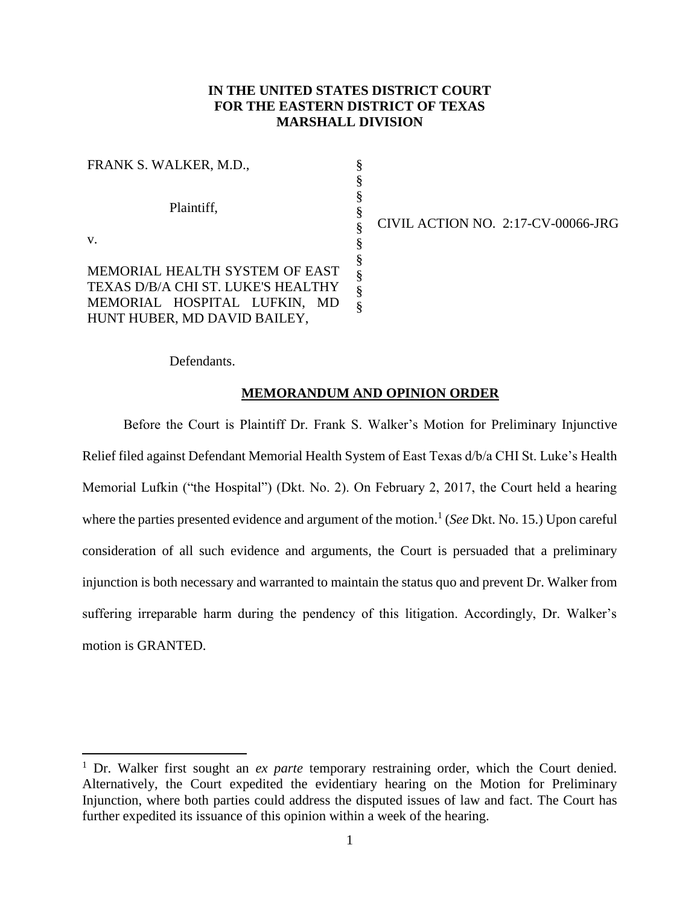# **IN THE UNITED STATES DISTRICT COURT FOR THE EASTERN DISTRICT OF TEXAS MARSHALL DIVISION**

| FRANK S. WALKER, M.D.,             | §           |
|------------------------------------|-------------|
|                                    | §           |
|                                    | §           |
| Plaintiff,                         | §           |
|                                    | §           |
| $V_{\cdot}$                        | §           |
|                                    |             |
| MEMORIAL HEALTH SYSTEM OF EAST     |             |
| TEXAS D/B/A CHI ST. LUKE'S HEALTHY | §<br>§<br>§ |
| MEMORIAL HOSPITAL LUFKIN,<br>MD    | §           |
| HUNT HUBER, MD DAVID BAILEY,       |             |

CIVIL ACTION NO. 2:17-CV-00066-JRG

Defendants.

 $\overline{a}$ 

## **MEMORANDUM AND OPINION ORDER**

Before the Court is Plaintiff Dr. Frank S. Walker's Motion for Preliminary Injunctive Relief filed against Defendant Memorial Health System of East Texas d/b/a CHI St. Luke's Health Memorial Lufkin ("the Hospital") (Dkt. No. 2). On February 2, 2017, the Court held a hearing where the parties presented evidence and argument of the motion.<sup>1</sup> (*See* Dkt. No. 15.) Upon careful consideration of all such evidence and arguments, the Court is persuaded that a preliminary injunction is both necessary and warranted to maintain the status quo and prevent Dr. Walker from suffering irreparable harm during the pendency of this litigation. Accordingly, Dr. Walker's motion is GRANTED.

<sup>1</sup> Dr. Walker first sought an *ex parte* temporary restraining order, which the Court denied. Alternatively, the Court expedited the evidentiary hearing on the Motion for Preliminary Injunction, where both parties could address the disputed issues of law and fact. The Court has further expedited its issuance of this opinion within a week of the hearing.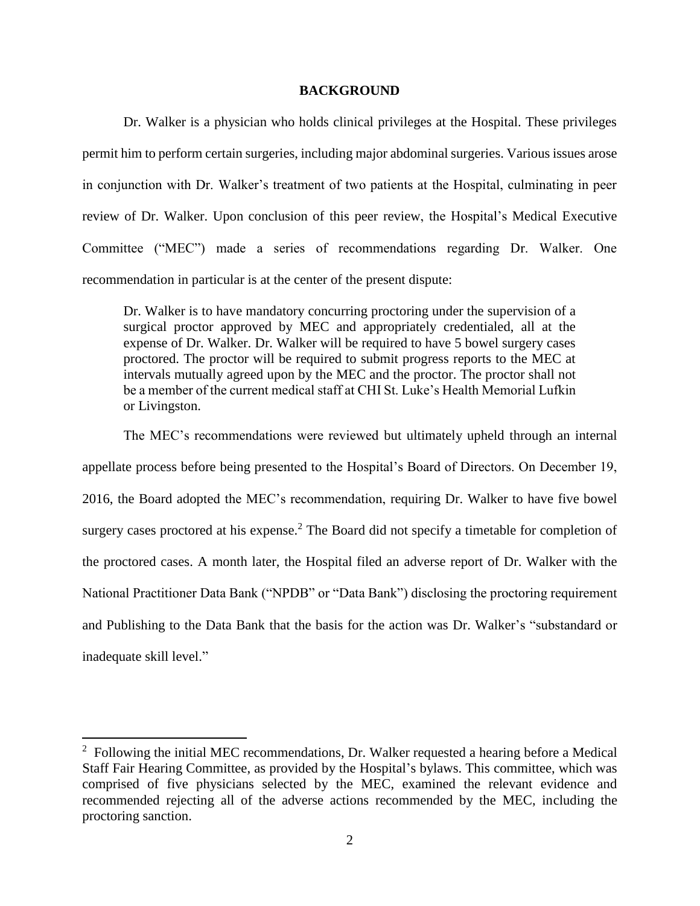## **BACKGROUND**

Dr. Walker is a physician who holds clinical privileges at the Hospital. These privileges permit him to perform certain surgeries, including major abdominal surgeries. Various issues arose in conjunction with Dr. Walker's treatment of two patients at the Hospital, culminating in peer review of Dr. Walker. Upon conclusion of this peer review, the Hospital's Medical Executive Committee ("MEC") made a series of recommendations regarding Dr. Walker. One recommendation in particular is at the center of the present dispute:

Dr. Walker is to have mandatory concurring proctoring under the supervision of a surgical proctor approved by MEC and appropriately credentialed, all at the expense of Dr. Walker. Dr. Walker will be required to have 5 bowel surgery cases proctored. The proctor will be required to submit progress reports to the MEC at intervals mutually agreed upon by the MEC and the proctor. The proctor shall not be a member of the current medical staff at CHI St. Luke's Health Memorial Lufkin or Livingston.

The MEC's recommendations were reviewed but ultimately upheld through an internal appellate process before being presented to the Hospital's Board of Directors. On December 19, 2016, the Board adopted the MEC's recommendation, requiring Dr. Walker to have five bowel surgery cases proctored at his expense.<sup>2</sup> The Board did not specify a timetable for completion of the proctored cases. A month later, the Hospital filed an adverse report of Dr. Walker with the National Practitioner Data Bank ("NPDB" or "Data Bank") disclosing the proctoring requirement and Publishing to the Data Bank that the basis for the action was Dr. Walker's "substandard or inadequate skill level."

 $\overline{a}$ 

 $2$  Following the initial MEC recommendations, Dr. Walker requested a hearing before a Medical Staff Fair Hearing Committee, as provided by the Hospital's bylaws. This committee, which was comprised of five physicians selected by the MEC, examined the relevant evidence and recommended rejecting all of the adverse actions recommended by the MEC, including the proctoring sanction.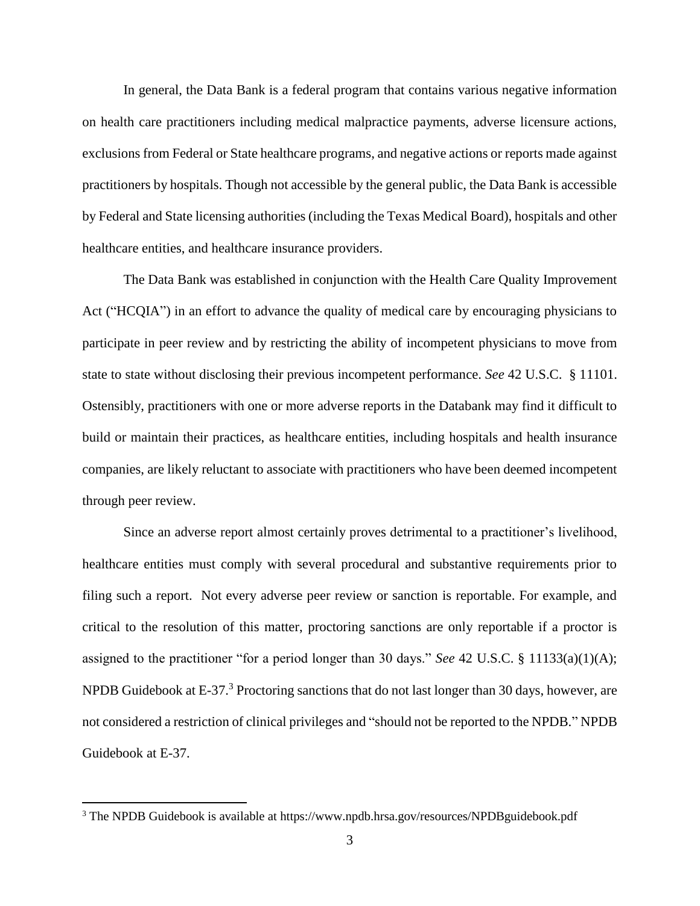In general, the Data Bank is a federal program that contains various negative information on health care practitioners including medical malpractice payments, adverse licensure actions, exclusions from Federal or State healthcare programs, and negative actions or reports made against practitioners by hospitals. Though not accessible by the general public, the Data Bank is accessible by Federal and State licensing authorities (including the Texas Medical Board), hospitals and other healthcare entities, and healthcare insurance providers.

The Data Bank was established in conjunction with the Health Care Quality Improvement Act ("HCQIA") in an effort to advance the quality of medical care by encouraging physicians to participate in peer review and by restricting the ability of incompetent physicians to move from state to state without disclosing their previous incompetent performance. *See* 42 U.S.C. § 11101. Ostensibly, practitioners with one or more adverse reports in the Databank may find it difficult to build or maintain their practices, as healthcare entities, including hospitals and health insurance companies, are likely reluctant to associate with practitioners who have been deemed incompetent through peer review.

Since an adverse report almost certainly proves detrimental to a practitioner's livelihood, healthcare entities must comply with several procedural and substantive requirements prior to filing such a report. Not every adverse peer review or sanction is reportable. For example, and critical to the resolution of this matter, proctoring sanctions are only reportable if a proctor is assigned to the practitioner "for a period longer than 30 days." *See* 42 U.S.C. § 11133(a)(1)(A); NPDB Guidebook at E-37.<sup>3</sup> Proctoring sanctions that do not last longer than 30 days, however, are not considered a restriction of clinical privileges and "should not be reported to the NPDB." NPDB Guidebook at E-37.

 $\overline{a}$ 

<sup>&</sup>lt;sup>3</sup> The NPDB Guidebook is available at https://www.npdb.hrsa.gov/resources/NPDBguidebook.pdf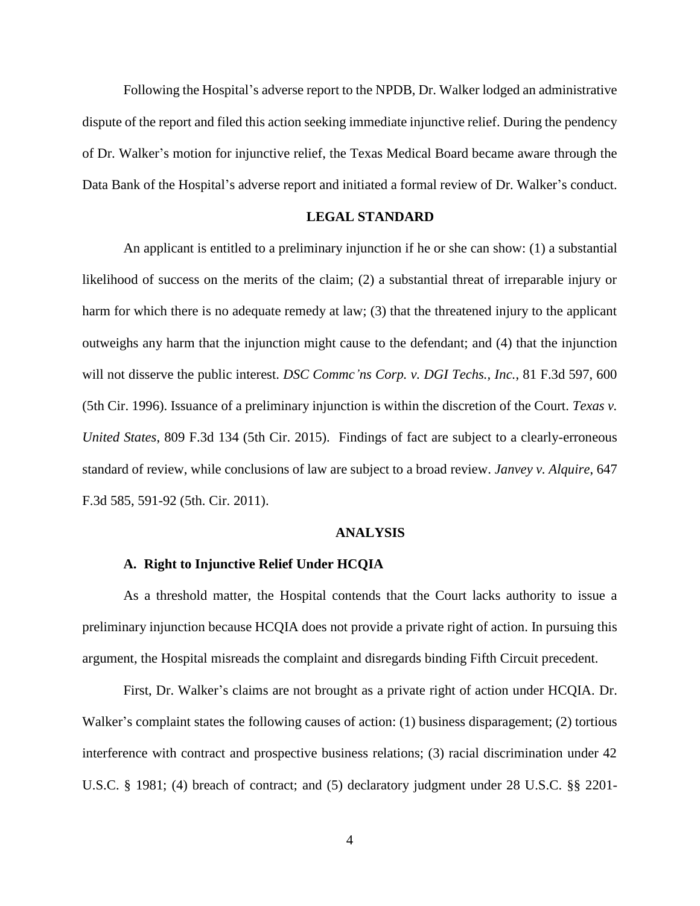Following the Hospital's adverse report to the NPDB, Dr. Walker lodged an administrative dispute of the report and filed this action seeking immediate injunctive relief. During the pendency of Dr. Walker's motion for injunctive relief, the Texas Medical Board became aware through the Data Bank of the Hospital's adverse report and initiated a formal review of Dr. Walker's conduct.

## **LEGAL STANDARD**

An applicant is entitled to a preliminary injunction if he or she can show: (1) a substantial likelihood of success on the merits of the claim; (2) a substantial threat of irreparable injury or harm for which there is no adequate remedy at law; (3) that the threatened injury to the applicant outweighs any harm that the injunction might cause to the defendant; and (4) that the injunction will not disserve the public interest. *DSC Commc'ns Corp. v. DGI Techs., Inc.*, 81 F.3d 597, 600 (5th Cir. 1996). Issuance of a preliminary injunction is within the discretion of the Court. *Texas v. United States*, 809 F.3d 134 (5th Cir. 2015). Findings of fact are subject to a clearly-erroneous standard of review, while conclusions of law are subject to a broad review. *Janvey v. Alquire*, 647 F.3d 585, 591-92 (5th. Cir. 2011).

## **ANALYSIS**

## **A. Right to Injunctive Relief Under HCQIA**

As a threshold matter, the Hospital contends that the Court lacks authority to issue a preliminary injunction because HCQIA does not provide a private right of action. In pursuing this argument, the Hospital misreads the complaint and disregards binding Fifth Circuit precedent.

First, Dr. Walker's claims are not brought as a private right of action under HCQIA. Dr. Walker's complaint states the following causes of action: (1) business disparagement; (2) tortious interference with contract and prospective business relations; (3) racial discrimination under 42 U.S.C. § 1981; (4) breach of contract; and (5) declaratory judgment under 28 U.S.C. §§ 2201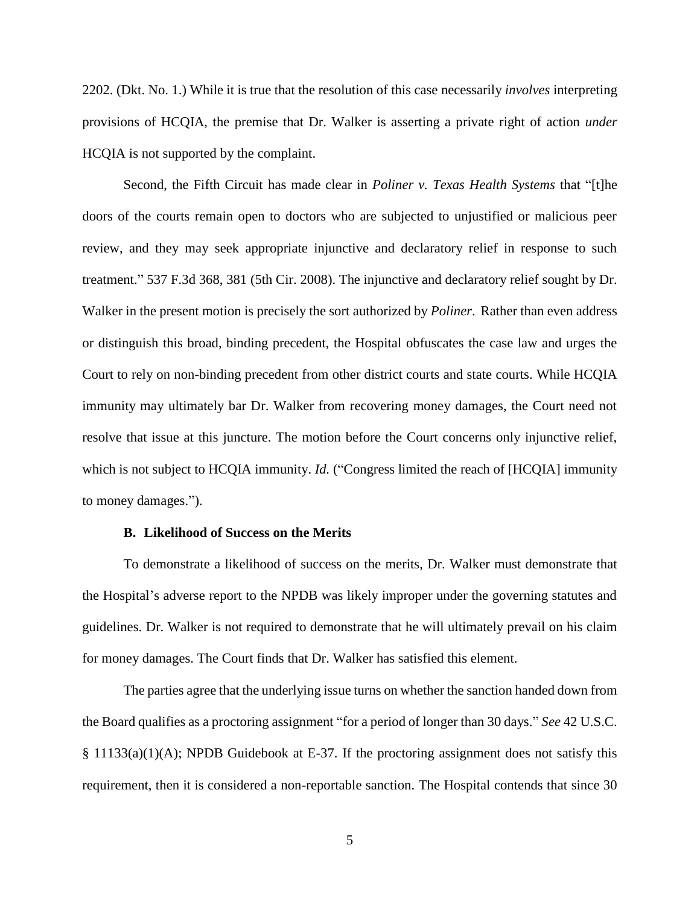2202. (Dkt. No. 1.) While it is true that the resolution of this case necessarily *involves* interpreting provisions of HCQIA, the premise that Dr. Walker is asserting a private right of action *under*  HCQIA is not supported by the complaint.

Second, the Fifth Circuit has made clear in *Poliner v. Texas Health Systems* that "[t]he doors of the courts remain open to doctors who are subjected to unjustified or malicious peer review, and they may seek appropriate injunctive and declaratory relief in response to such treatment." 537 F.3d 368, 381 (5th Cir. 2008). The injunctive and declaratory relief sought by Dr. Walker in the present motion is precisely the sort authorized by *Poliner*. Rather than even address or distinguish this broad, binding precedent, the Hospital obfuscates the case law and urges the Court to rely on non-binding precedent from other district courts and state courts. While HCQIA immunity may ultimately bar Dr. Walker from recovering money damages, the Court need not resolve that issue at this juncture. The motion before the Court concerns only injunctive relief, which is not subject to HCQIA immunity. *Id.* ("Congress limited the reach of [HCQIA] immunity to money damages.").

#### **B. Likelihood of Success on the Merits**

To demonstrate a likelihood of success on the merits, Dr. Walker must demonstrate that the Hospital's adverse report to the NPDB was likely improper under the governing statutes and guidelines. Dr. Walker is not required to demonstrate that he will ultimately prevail on his claim for money damages. The Court finds that Dr. Walker has satisfied this element.

The parties agree that the underlying issue turns on whether the sanction handed down from the Board qualifies as a proctoring assignment "for a period of longer than 30 days." *See* 42 U.S.C. § 11133(a)(1)(A); NPDB Guidebook at E-37. If the proctoring assignment does not satisfy this requirement, then it is considered a non-reportable sanction. The Hospital contends that since 30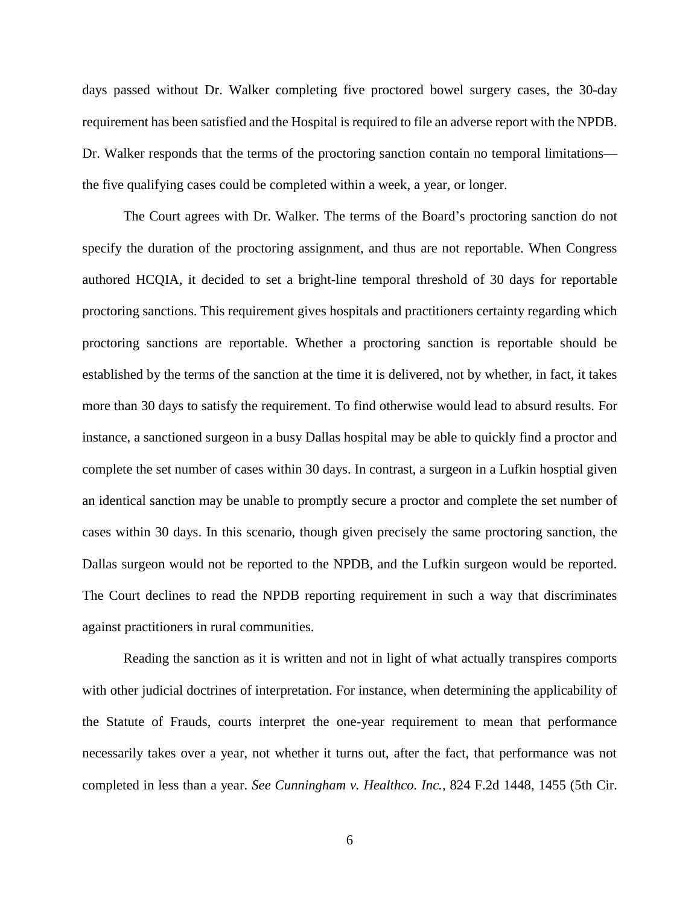days passed without Dr. Walker completing five proctored bowel surgery cases, the 30-day requirement has been satisfied and the Hospital is required to file an adverse report with the NPDB. Dr. Walker responds that the terms of the proctoring sanction contain no temporal limitations the five qualifying cases could be completed within a week, a year, or longer.

The Court agrees with Dr. Walker. The terms of the Board's proctoring sanction do not specify the duration of the proctoring assignment, and thus are not reportable. When Congress authored HCQIA, it decided to set a bright-line temporal threshold of 30 days for reportable proctoring sanctions. This requirement gives hospitals and practitioners certainty regarding which proctoring sanctions are reportable. Whether a proctoring sanction is reportable should be established by the terms of the sanction at the time it is delivered, not by whether, in fact, it takes more than 30 days to satisfy the requirement. To find otherwise would lead to absurd results. For instance, a sanctioned surgeon in a busy Dallas hospital may be able to quickly find a proctor and complete the set number of cases within 30 days. In contrast, a surgeon in a Lufkin hosptial given an identical sanction may be unable to promptly secure a proctor and complete the set number of cases within 30 days. In this scenario, though given precisely the same proctoring sanction, the Dallas surgeon would not be reported to the NPDB, and the Lufkin surgeon would be reported. The Court declines to read the NPDB reporting requirement in such a way that discriminates against practitioners in rural communities.

Reading the sanction as it is written and not in light of what actually transpires comports with other judicial doctrines of interpretation. For instance, when determining the applicability of the Statute of Frauds, courts interpret the one-year requirement to mean that performance necessarily takes over a year, not whether it turns out, after the fact, that performance was not completed in less than a year. *See Cunningham v. Healthco. Inc.*, 824 F.2d 1448, 1455 (5th Cir.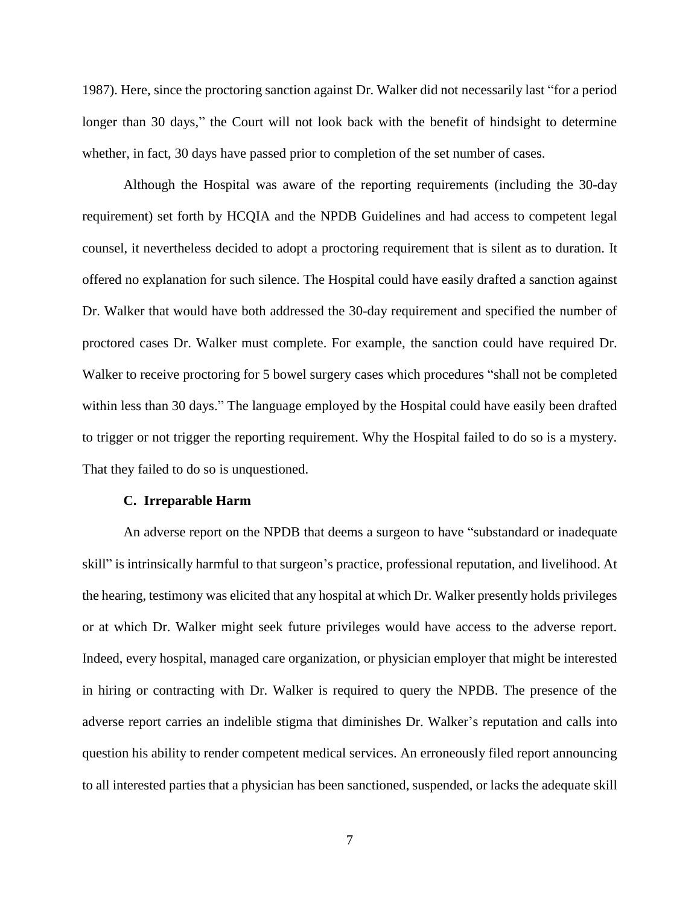1987). Here, since the proctoring sanction against Dr. Walker did not necessarily last "for a period longer than 30 days," the Court will not look back with the benefit of hindsight to determine whether, in fact, 30 days have passed prior to completion of the set number of cases.

Although the Hospital was aware of the reporting requirements (including the 30-day requirement) set forth by HCQIA and the NPDB Guidelines and had access to competent legal counsel, it nevertheless decided to adopt a proctoring requirement that is silent as to duration. It offered no explanation for such silence. The Hospital could have easily drafted a sanction against Dr. Walker that would have both addressed the 30-day requirement and specified the number of proctored cases Dr. Walker must complete. For example, the sanction could have required Dr. Walker to receive proctoring for 5 bowel surgery cases which procedures "shall not be completed within less than 30 days." The language employed by the Hospital could have easily been drafted to trigger or not trigger the reporting requirement. Why the Hospital failed to do so is a mystery. That they failed to do so is unquestioned.

## **C. Irreparable Harm**

An adverse report on the NPDB that deems a surgeon to have "substandard or inadequate skill" is intrinsically harmful to that surgeon's practice, professional reputation, and livelihood. At the hearing, testimony was elicited that any hospital at which Dr. Walker presently holds privileges or at which Dr. Walker might seek future privileges would have access to the adverse report. Indeed, every hospital, managed care organization, or physician employer that might be interested in hiring or contracting with Dr. Walker is required to query the NPDB. The presence of the adverse report carries an indelible stigma that diminishes Dr. Walker's reputation and calls into question his ability to render competent medical services. An erroneously filed report announcing to all interested parties that a physician has been sanctioned, suspended, or lacks the adequate skill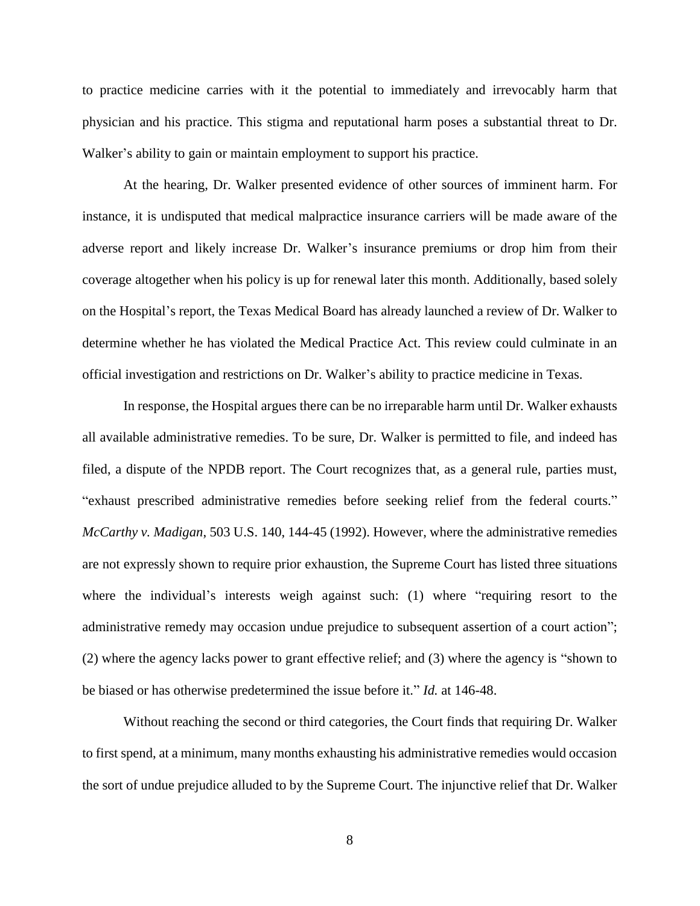to practice medicine carries with it the potential to immediately and irrevocably harm that physician and his practice. This stigma and reputational harm poses a substantial threat to Dr. Walker's ability to gain or maintain employment to support his practice.

At the hearing, Dr. Walker presented evidence of other sources of imminent harm. For instance, it is undisputed that medical malpractice insurance carriers will be made aware of the adverse report and likely increase Dr. Walker's insurance premiums or drop him from their coverage altogether when his policy is up for renewal later this month. Additionally, based solely on the Hospital's report, the Texas Medical Board has already launched a review of Dr. Walker to determine whether he has violated the Medical Practice Act. This review could culminate in an official investigation and restrictions on Dr. Walker's ability to practice medicine in Texas.

In response, the Hospital argues there can be no irreparable harm until Dr. Walker exhausts all available administrative remedies. To be sure, Dr. Walker is permitted to file, and indeed has filed, a dispute of the NPDB report. The Court recognizes that, as a general rule, parties must, "exhaust prescribed administrative remedies before seeking relief from the federal courts." *McCarthy v. Madigan*, 503 U.S. 140, 144-45 (1992). However, where the administrative remedies are not expressly shown to require prior exhaustion, the Supreme Court has listed three situations where the individual's interests weigh against such: (1) where "requiring resort to the administrative remedy may occasion undue prejudice to subsequent assertion of a court action"; (2) where the agency lacks power to grant effective relief; and (3) where the agency is "shown to be biased or has otherwise predetermined the issue before it." *Id.* at 146-48.

Without reaching the second or third categories, the Court finds that requiring Dr. Walker to first spend, at a minimum, many months exhausting his administrative remedies would occasion the sort of undue prejudice alluded to by the Supreme Court. The injunctive relief that Dr. Walker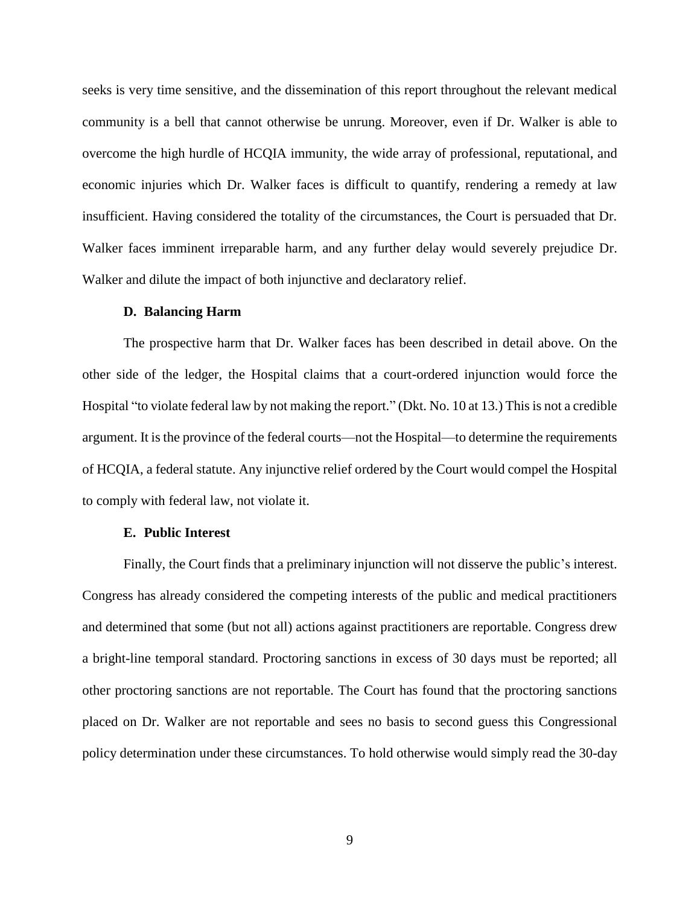seeks is very time sensitive, and the dissemination of this report throughout the relevant medical community is a bell that cannot otherwise be unrung. Moreover, even if Dr. Walker is able to overcome the high hurdle of HCQIA immunity, the wide array of professional, reputational, and economic injuries which Dr. Walker faces is difficult to quantify, rendering a remedy at law insufficient. Having considered the totality of the circumstances, the Court is persuaded that Dr. Walker faces imminent irreparable harm, and any further delay would severely prejudice Dr. Walker and dilute the impact of both injunctive and declaratory relief.

#### **D. Balancing Harm**

The prospective harm that Dr. Walker faces has been described in detail above. On the other side of the ledger, the Hospital claims that a court-ordered injunction would force the Hospital "to violate federal law by not making the report." (Dkt. No. 10 at 13.) This is not a credible argument. It is the province of the federal courts—not the Hospital—to determine the requirements of HCQIA, a federal statute. Any injunctive relief ordered by the Court would compel the Hospital to comply with federal law, not violate it.

#### **E. Public Interest**

Finally, the Court finds that a preliminary injunction will not disserve the public's interest. Congress has already considered the competing interests of the public and medical practitioners and determined that some (but not all) actions against practitioners are reportable. Congress drew a bright-line temporal standard. Proctoring sanctions in excess of 30 days must be reported; all other proctoring sanctions are not reportable. The Court has found that the proctoring sanctions placed on Dr. Walker are not reportable and sees no basis to second guess this Congressional policy determination under these circumstances. To hold otherwise would simply read the 30-day